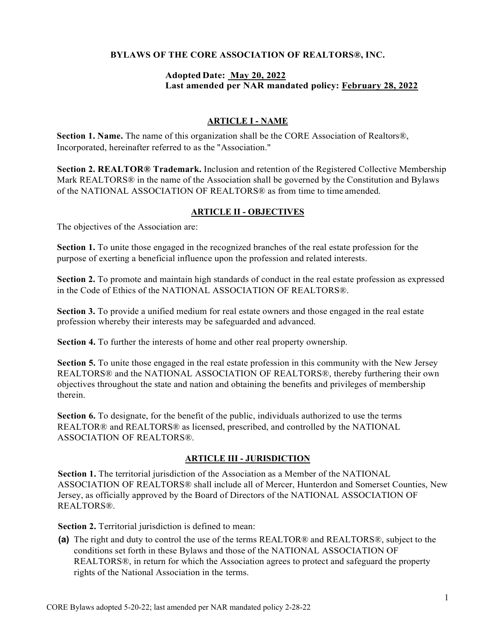#### BYLAWS OF THE CORE ASSOCIATION OF REALTORS®, INC.

#### Adopted Date: May 20, 2022 Last amended per NAR mandated policy: February 28, 2022

#### ARTICLE I - NAME

Section 1. Name. The name of this organization shall be the CORE Association of Realtors®, Incorporated, hereinafter referred to as the "Association."

Section 2. REALTOR® Trademark. Inclusion and retention of the Registered Collective Membership Mark REALTORS<sup>®</sup> in the name of the Association shall be governed by the Constitution and Bylaws of the NATIONAL ASSOCIATION OF REALTORS® as from time to time amended.

#### ARTICLE II - OBJECTIVES

The objectives of the Association are:

Section 1. To unite those engaged in the recognized branches of the real estate profession for the purpose of exerting a beneficial influence upon the profession and related interests.

Section 2. To promote and maintain high standards of conduct in the real estate profession as expressed in the Code of Ethics of the NATIONAL ASSOCIATION OF REALTORS®.

Section 3. To provide a unified medium for real estate owners and those engaged in the real estate profession whereby their interests may be safeguarded and advanced.

Section 4. To further the interests of home and other real property ownership.

Section 5. To unite those engaged in the real estate profession in this community with the New Jersey REALTORS® and the NATIONAL ASSOCIATION OF REALTORS®, thereby furthering their own objectives throughout the state and nation and obtaining the benefits and privileges of membership therein.

Section 6. To designate, for the benefit of the public, individuals authorized to use the terms REALTOR® and REALTORS® as licensed, prescribed, and controlled by the NATIONAL ASSOCIATION OF REALTORS®.

#### **ARTICLE III - JURISDICTION**

Section 1. The territorial jurisdiction of the Association as a Member of the NATIONAL ASSOCIATION OF REALTORS® shall include all of Mercer, Hunterdon and Somerset Counties, New Jersey, as officially approved by the Board of Directors of the NATIONAL ASSOCIATION OF REALTORS®.

Section 2. Territorial jurisdiction is defined to mean:

(a) The right and duty to control the use of the terms REALTOR® and REALTORS®, subject to the conditions set forth in these Bylaws and those of the NATIONAL ASSOCIATION OF REALTORS®, in return for which the Association agrees to protect and safeguard the property rights of the National Association in the terms.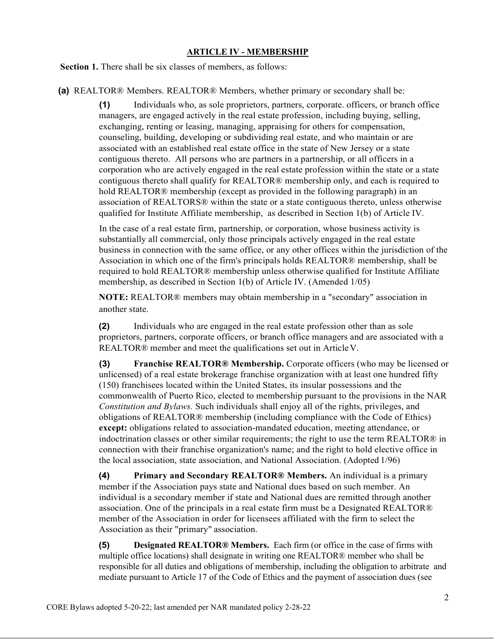#### ARTICLE IV - MEMBERSHIP

Section 1. There shall be six classes of members, as follows:

(a) REALTOR® Members. REALTOR® Members, whether primary or secondary shall be:

(1) Individuals who, as sole proprietors, partners, corporate. officers, or branch office managers, are engaged actively in the real estate profession, including buying, selling, exchanging, renting or leasing, managing, appraising for others for compensation, counseling, building, developing or subdividing real estate, and who maintain or are associated with an established real estate office in the state of New Jersey or a state contiguous thereto. All persons who are partners in a partnership, or all officers in a corporation who are actively engaged in the real estate profession within the state or a state contiguous thereto shall qualify for REALTOR® membership only, and each is required to hold REALTOR® membership (except as provided in the following paragraph) in an association of REALTORS® within the state or a state contiguous thereto, unless otherwise qualified for Institute Affiliate membership, as described in Section 1(b) of Article IV.

In the case of a real estate firm, partnership, or corporation, whose business activity is substantially all commercial, only those principals actively engaged in the real estate business in connection with the same office, or any other offices within the jurisdiction of the Association in which one of the firm's principals holds REALTOR® membership, shall be required to hold REALTOR® membership unless otherwise qualified for Institute Affiliate membership, as described in Section 1(b) of Article IV. (Amended 1/05)

NOTE: REALTOR® members may obtain membership in a "secondary" association in another state.

(2) Individuals who are engaged in the real estate profession other than as sole proprietors, partners, corporate officers, or branch office managers and are associated with a REALTOR® member and meet the qualifications set out in Article V.

(3) Franchise REALTOR® Membership. Corporate officers (who may be licensed or unlicensed) of a real estate brokerage franchise organization with at least one hundred fifty (150) franchisees located within the United States, its insular possessions and the commonwealth of Puerto Rico, elected to membership pursuant to the provisions in the NAR Constitution and Bylaws. Such individuals shall enjoy all of the rights, privileges, and obligations of REALTOR® membership (including compliance with the Code of Ethics) except: obligations related to association-mandated education, meeting attendance, or indoctrination classes or other similar requirements; the right to use the term REALTOR® in connection with their franchise organization's name; and the right to hold elective office in the local association, state association, and National Association. (Adopted 1/96)

(4) Primary and Secondary REALTOR® Members. An individual is a primary member if the Association pays state and National dues based on such member. An individual is a secondary member if state and National dues are remitted through another association. One of the principals in a real estate firm must be a Designated REALTOR® member of the Association in order for licensees affiliated with the firm to select the Association as their "primary" association.

(5) Designated REALTOR® Members. Each firm (or office in the case of firms with multiple office locations) shall designate in writing one REALTOR® member who shall be responsible for all duties and obligations of membership, including the obligation to arbitrate and mediate pursuant to Article 17 of the Code of Ethics and the payment of association dues (see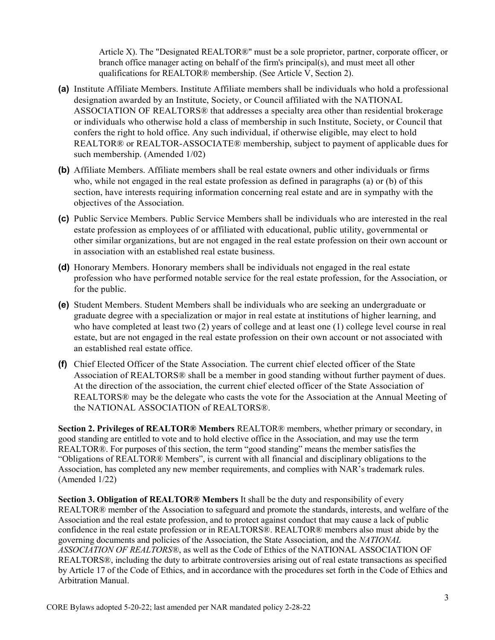Article X). The "Designated REALTOR®" must be a sole proprietor, partner, corporate officer, or branch office manager acting on behalf of the firm's principal(s), and must meet all other qualifications for REALTOR® membership. (See Article V, Section 2).

- (a) Institute Affiliate Members. Institute Affiliate members shall be individuals who hold a professional designation awarded by an Institute, Society, or Council affiliated with the NATIONAL ASSOCIATION OF REALTORS® that addresses a specialty area other than residential brokerage or individuals who otherwise hold a class of membership in such Institute, Society, or Council that confers the right to hold office. Any such individual, if otherwise eligible, may elect to hold REALTOR® or REALTOR-ASSOCIATE® membership, subject to payment of applicable dues for such membership. (Amended 1/02)
- (b) Affiliate Members. Affiliate members shall be real estate owners and other individuals or firms who, while not engaged in the real estate profession as defined in paragraphs (a) or (b) of this section, have interests requiring information concerning real estate and are in sympathy with the objectives of the Association.
- (c) Public Service Members. Public Service Members shall be individuals who are interested in the real estate profession as employees of or affiliated with educational, public utility, governmental or other similar organizations, but are not engaged in the real estate profession on their own account or in association with an established real estate business.
- (d) Honorary Members. Honorary members shall be individuals not engaged in the real estate profession who have performed notable service for the real estate profession, for the Association, or for the public.
- (e) Student Members. Student Members shall be individuals who are seeking an undergraduate or graduate degree with a specialization or major in real estate at institutions of higher learning, and who have completed at least two (2) years of college and at least one (1) college level course in real estate, but are not engaged in the real estate profession on their own account or not associated with an established real estate office.
- (f) Chief Elected Officer of the State Association. The current chief elected officer of the State Association of REALTORS® shall be a member in good standing without further payment of dues. At the direction of the association, the current chief elected officer of the State Association of REALTORS® may be the delegate who casts the vote for the Association at the Annual Meeting of the NATIONAL ASSOCIATION of REALTORS®.

Section 2. Privileges of REALTOR® Members REALTOR® members, whether primary or secondary, in good standing are entitled to vote and to hold elective office in the Association, and may use the term REALTOR®. For purposes of this section, the term "good standing" means the member satisfies the "Obligations of REALTOR® Members", is current with all financial and disciplinary obligations to the Association, has completed any new member requirements, and complies with NAR's trademark rules. (Amended 1/22)

Section 3. Obligation of REALTOR® Members It shall be the duty and responsibility of every REALTOR® member of the Association to safeguard and promote the standards, interests, and welfare of the Association and the real estate profession, and to protect against conduct that may cause a lack of public confidence in the real estate profession or in REALTORS®. REALTOR® members also must abide by the governing documents and policies of the Association, the State Association, and the NATIONAL ASSOCIATION OF REALTORS®, as well as the Code of Ethics of the NATIONAL ASSOCIATION OF REALTORS®, including the duty to arbitrate controversies arising out of real estate transactions as specified by Article 17 of the Code of Ethics, and in accordance with the procedures set forth in the Code of Ethics and Arbitration Manual.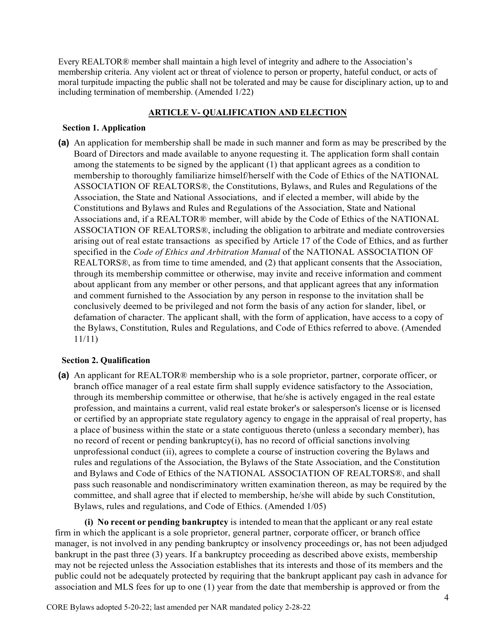Every REALTOR® member shall maintain a high level of integrity and adhere to the Association's membership criteria. Any violent act or threat of violence to person or property, hateful conduct, or acts of moral turpitude impacting the public shall not be tolerated and may be cause for disciplinary action, up to and including termination of membership. (Amended 1/22)

#### ARTICLE V- QUALIFICATION AND ELECTION

#### Section 1. Application

(a) An application for membership shall be made in such manner and form as may be prescribed by the Board of Directors and made available to anyone requesting it. The application form shall contain among the statements to be signed by the applicant (1) that applicant agrees as a condition to membership to thoroughly familiarize himself/herself with the Code of Ethics of the NATIONAL ASSOCIATION OF REALTORS®, the Constitutions, Bylaws, and Rules and Regulations of the Association, the State and National Associations, and if elected a member, will abide by the Constitutions and Bylaws and Rules and Regulations of the Association, State and National Associations and, if a REALTOR® member, will abide by the Code of Ethics of the NATIONAL ASSOCIATION OF REALTORS®, including the obligation to arbitrate and mediate controversies arising out of real estate transactions as specified by Article 17 of the Code of Ethics, and as further specified in the Code of Ethics and Arbitration Manual of the NATIONAL ASSOCIATION OF REALTORS®, as from time to time amended, and (2) that applicant consents that the Association, through its membership committee or otherwise, may invite and receive information and comment about applicant from any member or other persons, and that applicant agrees that any information and comment furnished to the Association by any person in response to the invitation shall be conclusively deemed to be privileged and not form the basis of any action for slander, libel, or defamation of character. The applicant shall, with the form of application, have access to a copy of the Bylaws, Constitution, Rules and Regulations, and Code of Ethics referred to above. (Amended 11/11)

## Section 2. Qualification

(a) An applicant for REALTOR® membership who is a sole proprietor, partner, corporate officer, or branch office manager of a real estate firm shall supply evidence satisfactory to the Association, through its membership committee or otherwise, that he/she is actively engaged in the real estate profession, and maintains a current, valid real estate broker's or salesperson's license or is licensed or certified by an appropriate state regulatory agency to engage in the appraisal of real property, has a place of business within the state or a state contiguous thereto (unless a secondary member), has no record of recent or pending bankruptcy(i), has no record of official sanctions involving unprofessional conduct (ii), agrees to complete a course of instruction covering the Bylaws and rules and regulations of the Association, the Bylaws of the State Association, and the Constitution and Bylaws and Code of Ethics of the NATIONAL ASSOCIATION OF REALTORS®, and shall pass such reasonable and nondiscriminatory written examination thereon, as may be required by the committee, and shall agree that if elected to membership, he/she will abide by such Constitution, Bylaws, rules and regulations, and Code of Ethics. (Amended 1/05)

(i) No recent or pending bankruptcy is intended to mean that the applicant or any real estate firm in which the applicant is a sole proprietor, general partner, corporate officer, or branch office manager, is not involved in any pending bankruptcy or insolvency proceedings or, has not been adjudged bankrupt in the past three (3) years. If a bankruptcy proceeding as described above exists, membership may not be rejected unless the Association establishes that its interests and those of its members and the public could not be adequately protected by requiring that the bankrupt applicant pay cash in advance for association and MLS fees for up to one (1) year from the date that membership is approved or from the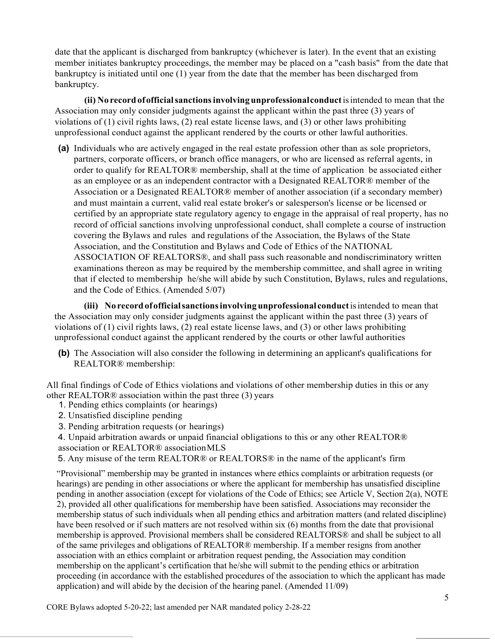date that the applicant is discharged from bankruptcy (whichever is later). In the event that an existing member initiates bankruptcy proceedings, the member may be placed on a "cash basis" from the date that bankruptcy is initiated until one (1) year from the date that the member has been discharged from bankruptcy.

(ii) No record of official sanctions involving unprofessional conduct is intended to mean that the Association may only consider judgments against the applicant within the past three (3) years of violations of (1) civil rights laws, (2) real estate license laws, and (3) or other laws prohibiting unprofessional conduct against the applicant rendered by the courts or other lawful authorities.

(a) Individuals who are actively engaged in the real estate profession other than as sole proprietors, partners, corporate officers, or branch office managers, or who are licensed as referral agents, in order to qualify for REALTOR® membership, shall at the time of application be associated either as an employee or as an independent contractor with a Designated REALTOR® member of the Association or a Designated REALTOR® member of another association (if a secondary member) and must maintain a current, valid real estate broker's or salesperson's license or be licensed or certified by an appropriate state regulatory agency to engage in the appraisal of real property, has no record of official sanctions involving unprofessional conduct, shall complete a course of instruction covering the Bylaws and rules and regulations of the Association, the Bylaws of the State Association, and the Constitution and Bylaws and Code of Ethics of the NATIONAL ASSOCIATION OF REALTORS®, and shall pass such reasonable and nondiscriminatory written examinations thereon as may be required by the membership committee, and shall agree in writing that if elected to membership he/she will abide by such Constitution, Bylaws, rules and regulations, and the Code of Ethics. (Amended 5/07)

(iii) No record of official sanctions involving unprofessional conduct is intended to mean that the Association may only consider judgments against the applicant within the past three (3) years of violations of (1) civil rights laws, (2) real estate license laws, and (3) or other laws prohibiting unprofessional conduct against the applicant rendered by the courts or other lawful authorities

(b) The Association will also consider the following in determining an applicant's qualifications for REALTOR® membership:

All final findings of Code of Ethics violations and violations of other membership duties in this or any other REALTOR® association within the past three (3) years

- 1. Pending ethics complaints (or hearings)
- 2. Unsatisfied discipline pending
- 3. Pending arbitration requests (or hearings)

4. Unpaid arbitration awards or unpaid financial obligations to this or any other REALTOR® association or REALTOR® association MLS

5. Any misuse of the term REALTOR® or REALTORS® in the name of the applicant's firm

"Provisional" membership may be granted in instances where ethics complaints or arbitration requests (or hearings) are pending in other associations or where the applicant for membership has unsatisfied discipline pending in another association (except for violations of the Code of Ethics; see Article V, Section 2(a), NOTE 2), provided all other qualifications for membership have been satisfied. Associations may reconsider the membership status of such individuals when all pending ethics and arbitration matters (and related discipline) have been resolved or if such matters are not resolved within six (6) months from the date that provisional membership is approved. Provisional members shall be considered REALTORS® and shall be subject to all of the same privileges and obligations of REALTOR® membership. If a member resigns from another association with an ethics complaint or arbitration request pending, the Association may condition membership on the applicant's certification that he/she will submit to the pending ethics or arbitration proceeding (in accordance with the established procedures of the association to which the applicant has made application) and will abide by the decision of the hearing panel. (Amended 11/09)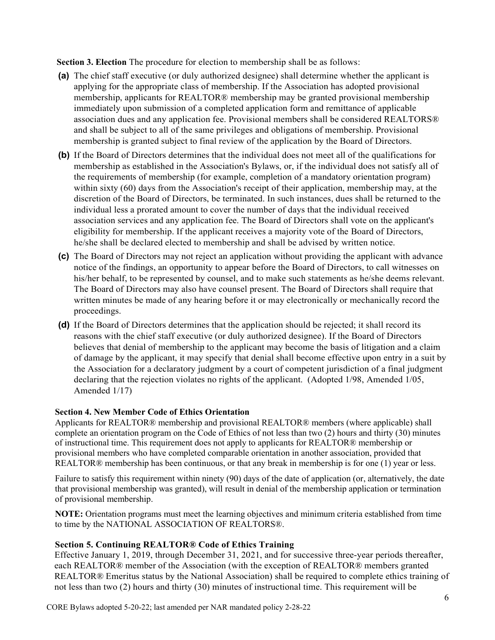Section 3. Election The procedure for election to membership shall be as follows:

- (a) The chief staff executive (or duly authorized designee) shall determine whether the applicant is applying for the appropriate class of membership. If the Association has adopted provisional membership, applicants for REALTOR® membership may be granted provisional membership immediately upon submission of a completed application form and remittance of applicable association dues and any application fee. Provisional members shall be considered REALTORS® and shall be subject to all of the same privileges and obligations of membership. Provisional membership is granted subject to final review of the application by the Board of Directors.
- (b) If the Board of Directors determines that the individual does not meet all of the qualifications for membership as established in the Association's Bylaws, or, if the individual does not satisfy all of the requirements of membership (for example, completion of a mandatory orientation program) within sixty (60) days from the Association's receipt of their application, membership may, at the discretion of the Board of Directors, be terminated. In such instances, dues shall be returned to the individual less a prorated amount to cover the number of days that the individual received association services and any application fee. The Board of Directors shall vote on the applicant's eligibility for membership. If the applicant receives a majority vote of the Board of Directors, he/she shall be declared elected to membership and shall be advised by written notice.
- (c) The Board of Directors may not reject an application without providing the applicant with advance notice of the findings, an opportunity to appear before the Board of Directors, to call witnesses on his/her behalf, to be represented by counsel, and to make such statements as he/she deems relevant. The Board of Directors may also have counsel present. The Board of Directors shall require that written minutes be made of any hearing before it or may electronically or mechanically record the proceedings.
- (d) If the Board of Directors determines that the application should be rejected; it shall record its reasons with the chief staff executive (or duly authorized designee). If the Board of Directors believes that denial of membership to the applicant may become the basis of litigation and a claim of damage by the applicant, it may specify that denial shall become effective upon entry in a suit by the Association for a declaratory judgment by a court of competent jurisdiction of a final judgment declaring that the rejection violates no rights of the applicant. (Adopted 1/98, Amended 1/05, Amended 1/17)

#### Section 4. New Member Code of Ethics Orientation

Applicants for REALTOR® membership and provisional REALTOR® members (where applicable) shall complete an orientation program on the Code of Ethics of not less than two (2) hours and thirty (30) minutes of instructional time. This requirement does not apply to applicants for REALTOR® membership or provisional members who have completed comparable orientation in another association, provided that REALTOR® membership has been continuous, or that any break in membership is for one (1) year or less.

Failure to satisfy this requirement within ninety (90) days of the date of application (or, alternatively, the date that provisional membership was granted), will result in denial of the membership application or termination of provisional membership.

NOTE: Orientation programs must meet the learning objectives and minimum criteria established from time to time by the NATIONAL ASSOCIATION OF REALTORS®.

## Section 5. Continuing REALTOR® Code of Ethics Training

Effective January 1, 2019, through December 31, 2021, and for successive three-year periods thereafter, each REALTOR® member of the Association (with the exception of REALTOR® members granted REALTOR® Emeritus status by the National Association) shall be required to complete ethics training of not less than two (2) hours and thirty (30) minutes of instructional time. This requirement will be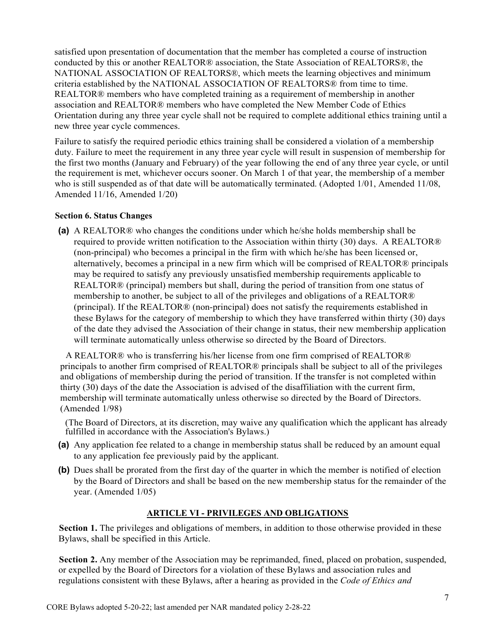satisfied upon presentation of documentation that the member has completed a course of instruction conducted by this or another REALTOR® association, the State Association of REALTORS®, the NATIONAL ASSOCIATION OF REALTORS®, which meets the learning objectives and minimum criteria established by the NATIONAL ASSOCIATION OF REALTORS® from time to time. REALTOR® members who have completed training as a requirement of membership in another association and REALTOR® members who have completed the New Member Code of Ethics Orientation during any three year cycle shall not be required to complete additional ethics training until a new three year cycle commences.

Failure to satisfy the required periodic ethics training shall be considered a violation of a membership duty. Failure to meet the requirement in any three year cycle will result in suspension of membership for the first two months (January and February) of the year following the end of any three year cycle, or until the requirement is met, whichever occurs sooner. On March 1 of that year, the membership of a member who is still suspended as of that date will be automatically terminated. (Adopted 1/01, Amended 11/08, Amended 11/16, Amended 1/20)

#### Section 6. Status Changes

(a) A REALTOR® who changes the conditions under which he/she holds membership shall be required to provide written notification to the Association within thirty (30) days. A REALTOR® (non-principal) who becomes a principal in the firm with which he/she has been licensed or, alternatively, becomes a principal in a new firm which will be comprised of REALTOR® principals may be required to satisfy any previously unsatisfied membership requirements applicable to REALTOR® (principal) members but shall, during the period of transition from one status of membership to another, be subject to all of the privileges and obligations of a REALTOR® (principal). If the REALTOR® (non-principal) does not satisfy the requirements established in these Bylaws for the category of membership to which they have transferred within thirty (30) days of the date they advised the Association of their change in status, their new membership application will terminate automatically unless otherwise so directed by the Board of Directors.

A REALTOR® who is transferring his/her license from one firm comprised of REALTOR® principals to another firm comprised of REALTOR® principals shall be subject to all of the privileges and obligations of membership during the period of transition. If the transfer is not completed within thirty (30) days of the date the Association is advised of the disaffiliation with the current firm, membership will terminate automatically unless otherwise so directed by the Board of Directors. (Amended 1/98)

(The Board of Directors, at its discretion, may waive any qualification which the applicant has already fulfilled in accordance with the Association's Bylaws.)

- (a) Any application fee related to a change in membership status shall be reduced by an amount equal to any application fee previously paid by the applicant.
- (b) Dues shall be prorated from the first day of the quarter in which the member is notified of election by the Board of Directors and shall be based on the new membership status for the remainder of the year. (Amended 1/05)

## ARTICLE VI - PRIVILEGES AND OBLIGATIONS

Section 1. The privileges and obligations of members, in addition to those otherwise provided in these Bylaws, shall be specified in this Article.

Section 2. Any member of the Association may be reprimanded, fined, placed on probation, suspended, or expelled by the Board of Directors for a violation of these Bylaws and association rules and regulations consistent with these Bylaws, after a hearing as provided in the Code of Ethics and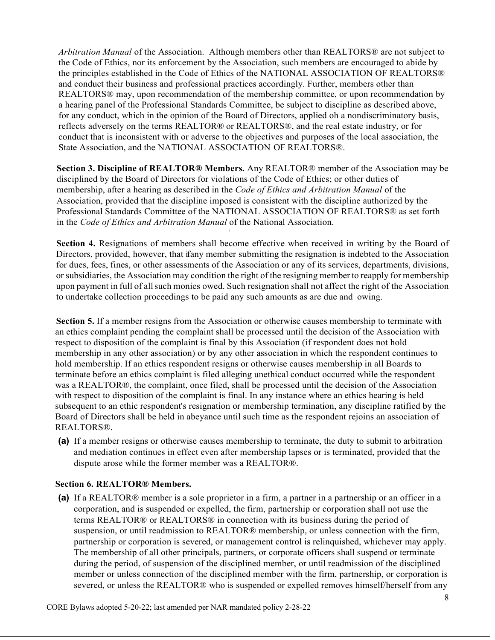Arbitration Manual of the Association. Although members other than REALTORS® are not subject to the Code of Ethics, nor its enforcement by the Association, such members are encouraged to abide by the principles established in the Code of Ethics of the NATIONAL ASSOCIATION OF REALTORS® and conduct their business and professional practices accordingly. Further, members other than REALTORS® may, upon recommendation of the membership committee, or upon recommendation by a hearing panel of the Professional Standards Committee, be subject to discipline as described above, for any conduct, which in the opinion of the Board of Directors, applied oh a nondiscriminatory basis, reflects adversely on the terms REALTOR® or REALTORS®, and the real estate industry, or for conduct that is inconsistent with or adverse to the objectives and purposes of the local association, the State Association, and the NATIONAL ASSOCIATION OF REALTORS®.

Section 3. Discipline of REALTOR® Members. Any REALTOR® member of the Association may be disciplined by the Board of Directors for violations of the Code of Ethics; or other duties of membership, after a hearing as described in the *Code of Ethics and Arbitration Manual* of the Association, provided that the discipline imposed is consistent with the discipline authorized by the Professional Standards Committee of the NATIONAL ASSOCIATION OF REALTORS® as set forth in the Code of Ethics and Arbitration Manual of the National Association.

'

Section 4. Resignations of members shall become effective when received in writing by the Board of Directors, provided, however, that if any member submitting the resignation is indebted to the Association for dues, fees, fines, or other assessments of the Association or any of its services, departments, divisions, or subsidiaries, the Association may condition the right of the resigning member to reapply for membership upon payment in full of all such monies owed. Such resignation shall not affect the right of the Association to undertake collection proceedings to be paid any such amounts as are due and owing.

Section 5. If a member resigns from the Association or otherwise causes membership to terminate with an ethics complaint pending the complaint shall be processed until the decision of the Association with respect to disposition of the complaint is final by this Association (if respondent does not hold membership in any other association) or by any other association in which the respondent continues to hold membership. If an ethics respondent resigns or otherwise causes membership in all Boards to terminate before an ethics complaint is filed alleging unethical conduct occurred while the respondent was a REALTOR®, the complaint, once filed, shall be processed until the decision of the Association with respect to disposition of the complaint is final. In any instance where an ethics hearing is held subsequent to an ethic respondent's resignation or membership termination, any discipline ratified by the Board of Directors shall be held in abeyance until such time as the respondent rejoins an association of REALTORS®.

(a) If a member resigns or otherwise causes membership to terminate, the duty to submit to arbitration and mediation continues in effect even after membership lapses or is terminated, provided that the dispute arose while the former member was a REALTOR®.

## Section 6. REALTOR® Members.

(a) If a REALTOR® member is a sole proprietor in a firm, a partner in a partnership or an officer in a corporation, and is suspended or expelled, the firm, partnership or corporation shall not use the terms REALTOR® or REALTORS® in connection with its business during the period of suspension, or until readmission to REALTOR® membership, or unless connection with the firm, partnership or corporation is severed, or management control is relinquished, whichever may apply. The membership of all other principals, partners, or corporate officers shall suspend or terminate during the period, of suspension of the disciplined member, or until readmission of the disciplined member or unless connection of the disciplined member with the firm, partnership, or corporation is severed, or unless the REALTOR® who is suspended or expelled removes himself/herself from any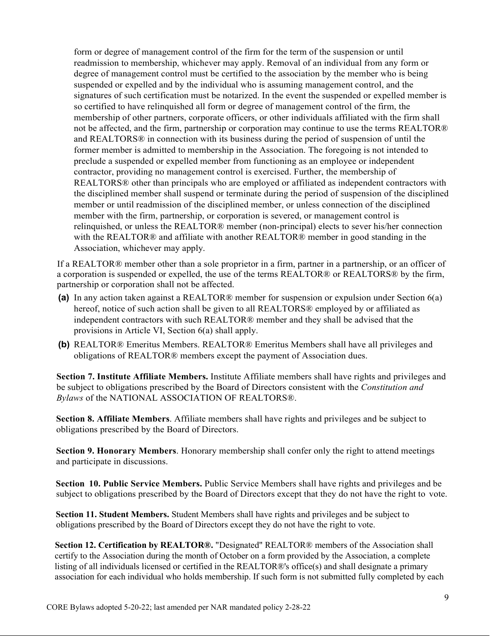form or degree of management control of the firm for the term of the suspension or until readmission to membership, whichever may apply. Removal of an individual from any form or degree of management control must be certified to the association by the member who is being suspended or expelled and by the individual who is assuming management control, and the signatures of such certification must be notarized. In the event the suspended or expelled member is so certified to have relinquished all form or degree of management control of the firm, the membership of other partners, corporate officers, or other individuals affiliated with the firm shall not be affected, and the firm, partnership or corporation may continue to use the terms REALTOR® and REALTORS® in connection with its business during the period of suspension of until the former member is admitted to membership in the Association. The foregoing is not intended to preclude a suspended or expelled member from functioning as an employee or independent contractor, providing no management control is exercised. Further, the membership of REALTORS® other than principals who are employed or affiliated as independent contractors with the disciplined member shall suspend or terminate during the period of suspension of the disciplined member or until readmission of the disciplined member, or unless connection of the disciplined member with the firm, partnership, or corporation is severed, or management control is relinquished, or unless the REALTOR® member (non-principal) elects to sever his/her connection with the REALTOR® and affiliate with another REALTOR® member in good standing in the Association, whichever may apply.

If a REALTOR® member other than a sole proprietor in a firm, partner in a partnership, or an officer of a corporation is suspended or expelled, the use of the terms REALTOR® or REALTORS® by the firm, partnership or corporation shall not be affected.

- (a) In any action taken against a REALTOR® member for suspension or expulsion under Section 6(a) hereof, notice of such action shall be given to all REALTORS® employed by or affiliated as independent contractors with such REALTOR® member and they shall be advised that the provisions in Article VI, Section 6(a) shall apply.
- (b) REALTOR® Emeritus Members. REALTOR® Emeritus Members shall have all privileges and obligations of REALTOR® members except the payment of Association dues.

Section 7. Institute Affiliate Members. Institute Affiliate members shall have rights and privileges and be subject to obligations prescribed by the Board of Directors consistent with the Constitution and Bylaws of the NATIONAL ASSOCIATION OF REALTORS®.

Section 8. Affiliate Members. Affiliate members shall have rights and privileges and be subject to obligations prescribed by the Board of Directors.

Section 9. Honorary Members. Honorary membership shall confer only the right to attend meetings and participate in discussions.

Section 10. Public Service Members. Public Service Members shall have rights and privileges and be subject to obligations prescribed by the Board of Directors except that they do not have the right to vote.

Section 11. Student Members. Student Members shall have rights and privileges and be subject to obligations prescribed by the Board of Directors except they do not have the right to vote.

Section 12. Certification by REALTOR®. "Designated" REALTOR® members of the Association shall certify to the Association during the month of October on a form provided by the Association, a complete listing of all individuals licensed or certified in the REALTOR®'s office(s) and shall designate a primary association for each individual who holds membership. If such form is not submitted fully completed by each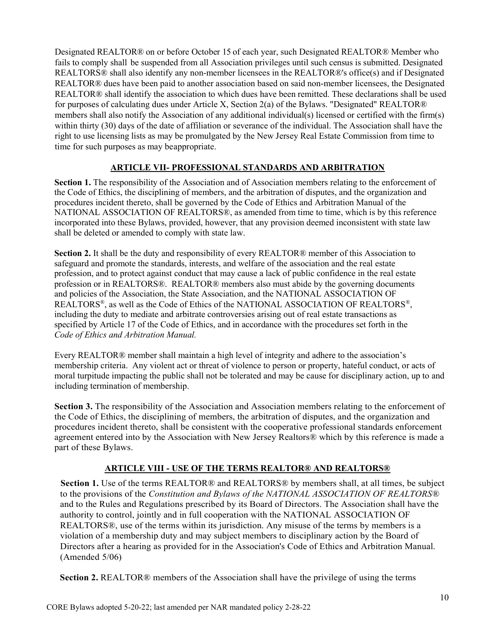Designated REALTOR® on or before October 15 of each year, such Designated REALTOR® Member who fails to comply shall be suspended from all Association privileges until such census is submitted. Designated REALTORS® shall also identify any non-member licensees in the REALTOR®'s office(s) and if Designated REALTOR® dues have been paid to another association based on said non-member licensees, the Designated REALTOR® shall identify the association to which dues have been remitted. These declarations shall be used for purposes of calculating dues under Article X, Section 2(a) of the Bylaws. "Designated" REALTOR® members shall also notify the Association of any additional individual(s) licensed or certified with the firm(s) within thirty (30) days of the date of affiliation or severance of the individual. The Association shall have the right to use licensing lists as may be promulgated by the New Jersey Real Estate Commission from time to time for such purposes as may be appropriate.

# ARTICLE VII- PROFESSIONAL STANDARDS AND ARBITRATION

Section 1. The responsibility of the Association and of Association members relating to the enforcement of the Code of Ethics, the disciplining of members, and the arbitration of disputes, and the organization and procedures incident thereto, shall be governed by the Code of Ethics and Arbitration Manual of the NATIONAL ASSOCIATION OF REALTORS®, as amended from time to time, which is by this reference incorporated into these Bylaws, provided, however, that any provision deemed inconsistent with state law shall be deleted or amended to comply with state law.

Section 2. It shall be the duty and responsibility of every REALTOR® member of this Association to safeguard and promote the standards, interests, and welfare of the association and the real estate profession, and to protect against conduct that may cause a lack of public confidence in the real estate profession or in REALTORS®. REALTOR® members also must abide by the governing documents and policies of the Association, the State Association, and the NATIONAL ASSOCIATION OF REALTORS<sup>®</sup>, as well as the Code of Ethics of the NATIONAL ASSOCIATION OF REALTORS<sup>®</sup>, including the duty to mediate and arbitrate controversies arising out of real estate transactions as specified by Article 17 of the Code of Ethics, and in accordance with the procedures set forth in the Code of Ethics and Arbitration Manual.

Every REALTOR® member shall maintain a high level of integrity and adhere to the association's membership criteria. Any violent act or threat of violence to person or property, hateful conduct, or acts of moral turpitude impacting the public shall not be tolerated and may be cause for disciplinary action, up to and including termination of membership.

Section 3. The responsibility of the Association and Association members relating to the enforcement of the Code of Ethics, the disciplining of members, the arbitration of disputes, and the organization and procedures incident thereto, shall be consistent with the cooperative professional standards enforcement agreement entered into by the Association with New Jersey Realtors® which by this reference is made a part of these Bylaws.

## ARTICLE VIII - USE OF THE TERMS REALTOR® AND REALTORS®

Section 1. Use of the terms REALTOR<sup>®</sup> and REALTORS<sup>®</sup> by members shall, at all times, be subject to the provisions of the *Constitution and Bylaws of the NATIONAL ASSOCIATION OF REALTORS®* and to the Rules and Regulations prescribed by its Board of Directors. The Association shall have the authority to control, jointly and in full cooperation with the NATIONAL ASSOCIATION OF REALTORS®, use of the terms within its jurisdiction. Any misuse of the terms by members is a violation of a membership duty and may subject members to disciplinary action by the Board of Directors after a hearing as provided for in the Association's Code of Ethics and Arbitration Manual. (Amended 5/06)

Section 2. REALTOR® members of the Association shall have the privilege of using the terms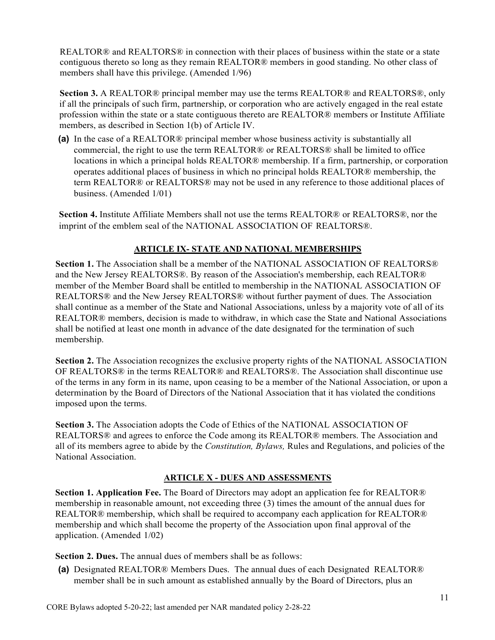REALTOR® and REALTORS® in connection with their places of business within the state or a state contiguous thereto so long as they remain REALTOR® members in good standing. No other class of members shall have this privilege. (Amended 1/96)

Section 3. A REALTOR® principal member may use the terms REALTOR® and REALTORS®, only if all the principals of such firm, partnership, or corporation who are actively engaged in the real estate profession within the state or a state contiguous thereto are REALTOR® members or Institute Affiliate members, as described in Section 1(b) of Article IV.

(a) In the case of a REALTOR® principal member whose business activity is substantially all commercial, the right to use the term REALTOR® or REALTORS® shall be limited to office locations in which a principal holds REALTOR® membership. If a firm, partnership, or corporation operates additional places of business in which no principal holds REALTOR® membership, the term REALTOR® or REALTORS® may not be used in any reference to those additional places of business. (Amended 1/01)

Section 4. Institute Affiliate Members shall not use the terms REALTOR® or REALTORS®, nor the imprint of the emblem seal of the NATIONAL ASSOCIATION OF REALTORS®.

# ARTICLE IX- STATE AND NATIONAL MEMBERSHIPS

Section 1. The Association shall be a member of the NATIONAL ASSOCIATION OF REALTORS® and the New Jersey REALTORS®. By reason of the Association's membership, each REALTOR® member of the Member Board shall be entitled to membership in the NATIONAL ASSOCIATION OF REALTORS® and the New Jersey REALTORS® without further payment of dues. The Association shall continue as a member of the State and National Associations, unless by a majority vote of all of its REALTOR® members, decision is made to withdraw, in which case the State and National Associations shall be notified at least one month in advance of the date designated for the termination of such membership.

Section 2. The Association recognizes the exclusive property rights of the NATIONAL ASSOCIATION OF REALTORS® in the terms REALTOR® and REALTORS®. The Association shall discontinue use of the terms in any form in its name, upon ceasing to be a member of the National Association, or upon a determination by the Board of Directors of the National Association that it has violated the conditions imposed upon the terms.

Section 3. The Association adopts the Code of Ethics of the NATIONAL ASSOCIATION OF REALTORS® and agrees to enforce the Code among its REALTOR® members. The Association and all of its members agree to abide by the Constitution, Bylaws, Rules and Regulations, and policies of the National Association.

## ARTICLE X - DUES AND ASSESSMENTS

Section 1. Application Fee. The Board of Directors may adopt an application fee for REALTOR® membership in reasonable amount, not exceeding three (3) times the amount of the annual dues for REALTOR® membership, which shall be required to accompany each application for REALTOR® membership and which shall become the property of the Association upon final approval of the application. (Amended 1/02)

Section 2. Dues. The annual dues of members shall be as follows:

(a) Designated REALTOR® Members Dues. The annual dues of each Designated REALTOR® member shall be in such amount as established annually by the Board of Directors, plus an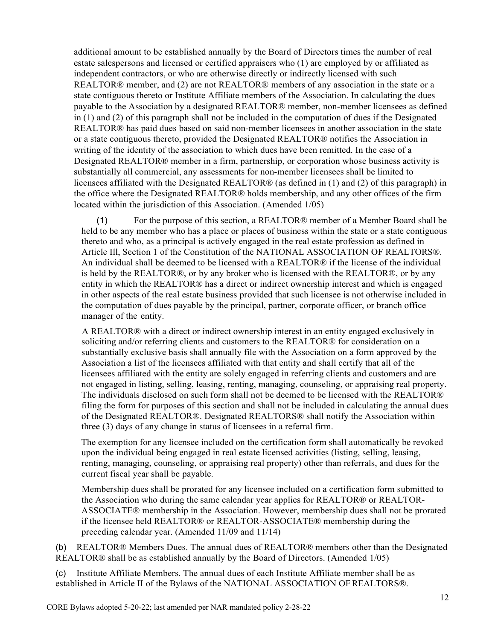additional amount to be established annually by the Board of Directors times the number of real estate salespersons and licensed or certified appraisers who (1) are employed by or affiliated as independent contractors, or who are otherwise directly or indirectly licensed with such REALTOR® member, and (2) are not REALTOR® members of any association in the state or a state contiguous thereto or Institute Affiliate members of the Association. In calculating the dues payable to the Association by a designated REALTOR® member, non-member licensees as defined in (1) and (2) of this paragraph shall not be included in the computation of dues if the Designated REALTOR® has paid dues based on said non-member licensees in another association in the state or a state contiguous thereto, provided the Designated REALTOR® notifies the Association in writing of the identity of the association to which dues have been remitted. In the case of a Designated REALTOR® member in a firm, partnership, or corporation whose business activity is substantially all commercial, any assessments for non-member licensees shall be limited to licensees affiliated with the Designated REALTOR® (as defined in (1) and (2) of this paragraph) in the office where the Designated REALTOR® holds membership, and any other offices of the firm located within the jurisdiction of this Association. (Amended 1/05)

(1) For the purpose of this section, a REALTOR® member of a Member Board shall be held to be any member who has a place or places of business within the state or a state contiguous thereto and who, as a principal is actively engaged in the real estate profession as defined in Article Ill, Section 1 of the Constitution of the NATIONAL ASSOCIATION OF REALTORS®. An individual shall be deemed to be licensed with a REALTOR® if the license of the individual is held by the REALTOR®, or by any broker who is licensed with the REALTOR®, or by any entity in which the REALTOR® has a direct or indirect ownership interest and which is engaged in other aspects of the real estate business provided that such licensee is not otherwise included in the computation of dues payable by the principal, partner, corporate officer, or branch office manager of the entity.

A REALTOR® with a direct or indirect ownership interest in an entity engaged exclusively in soliciting and/or referring clients and customers to the REALTOR® for consideration on a substantially exclusive basis shall annually file with the Association on a form approved by the Association a list of the licensees affiliated with that entity and shall certify that all of the licensees affiliated with the entity are solely engaged in referring clients and customers and are not engaged in listing, selling, leasing, renting, managing, counseling, or appraising real property. The individuals disclosed on such form shall not be deemed to be licensed with the REALTOR® filing the form for purposes of this section and shall not be included in calculating the annual dues of the Designated REALTOR®. Designated REALTORS® shall notify the Association within three (3) days of any change in status of licensees in a referral firm.

The exemption for any licensee included on the certification form shall automatically be revoked upon the individual being engaged in real estate licensed activities (listing, selling, leasing, renting, managing, counseling, or appraising real property) other than referrals, and dues for the current fiscal year shall be payable.

Membership dues shall be prorated for any licensee included on a certification form submitted to the Association who during the same calendar year applies for REALTOR® or REALTOR-ASSOCIATE® membership in the Association. However, membership dues shall not be prorated if the licensee held REALTOR® or REALTOR-ASSOCIATE® membership during the preceding calendar year. (Amended 11/09 and 11/14)

(b) REALTOR® Members Dues. The annual dues of REALTOR® members other than the Designated REALTOR® shall be as established annually by the Board of Directors. (Amended 1/05)

(c) Institute Affiliate Members. The annual dues of each Institute Affiliate member shall be as established in Article II of the Bylaws of the NATIONAL ASSOCIATION OF REALTORS®.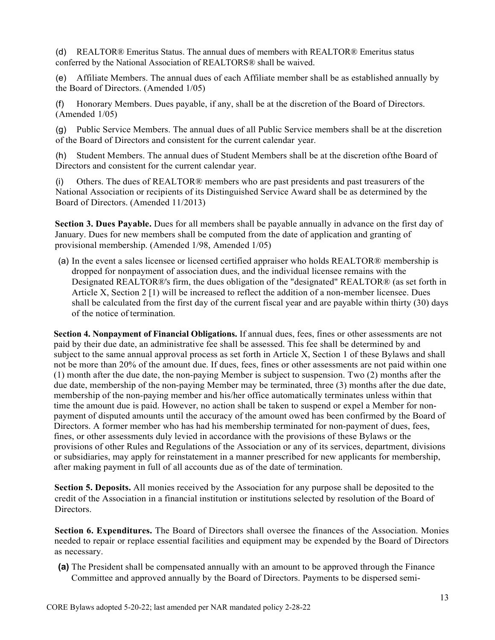(d) REALTOR® Emeritus Status. The annual dues of members with REALTOR® Emeritus status conferred by the National Association of REALTORS® shall be waived.

(e) Affiliate Members. The annual dues of each Affiliate member shall be as established annually by the Board of Directors. (Amended 1/05)

(f) Honorary Members. Dues payable, if any, shall be at the discretion of the Board of Directors. (Amended 1/05)

(g) Public Service Members. The annual dues of all Public Service members shall be at the discretion of the Board of Directors and consistent for the current calendar year.

(h) Student Members. The annual dues of Student Members shall be at the discretion of the Board of Directors and consistent for the current calendar year.

(i) Others. The dues of REALTOR® members who are past presidents and past treasurers of the National Association or recipients of its Distinguished Service Award shall be as determined by the Board of Directors. (Amended 11/2013)

Section 3. Dues Payable. Dues for all members shall be payable annually in advance on the first day of January. Dues for new members shall be computed from the date of application and granting of provisional membership. (Amended 1/98, Amended 1/05)

(a) In the event a sales licensee or licensed certified appraiser who holds REALTOR® membership is dropped for nonpayment of association dues, and the individual licensee remains with the Designated REALTOR®'s firm, the dues obligation of the "designated" REALTOR® (as set forth in Article X, Section 2 [1) will be increased to reflect the addition of a non-member licensee. Dues shall be calculated from the first day of the current fiscal year and are payable within thirty (30) days of the notice of termination.

Section 4. Nonpayment of Financial Obligations. If annual dues, fees, fines or other assessments are not paid by their due date, an administrative fee shall be assessed. This fee shall be determined by and subject to the same annual approval process as set forth in Article X, Section 1 of these Bylaws and shall not be more than 20% of the amount due. If dues, fees, fines or other assessments are not paid within one (1) month after the due date, the non-paying Member is subject to suspension. Two (2) months after the due date, membership of the non-paying Member may be terminated, three (3) months after the due date, membership of the non-paying member and his/her office automatically terminates unless within that time the amount due is paid. However, no action shall be taken to suspend or expel a Member for nonpayment of disputed amounts until the accuracy of the amount owed has been confirmed by the Board of Directors. A former member who has had his membership terminated for non-payment of dues, fees, fines, or other assessments duly levied in accordance with the provisions of these Bylaws or the provisions of other Rules and Regulations of the Association or any of its services, department, divisions or subsidiaries, may apply for reinstatement in a manner prescribed for new applicants for membership, after making payment in full of all accounts due as of the date of termination.

Section 5. Deposits. All monies received by the Association for any purpose shall be deposited to the credit of the Association in a financial institution or institutions selected by resolution of the Board of Directors.

Section 6. Expenditures. The Board of Directors shall oversee the finances of the Association. Monies needed to repair or replace essential facilities and equipment may be expended by the Board of Directors as necessary.

(a) The President shall be compensated annually with an amount to be approved through the Finance Committee and approved annually by the Board of Directors. Payments to be dispersed semi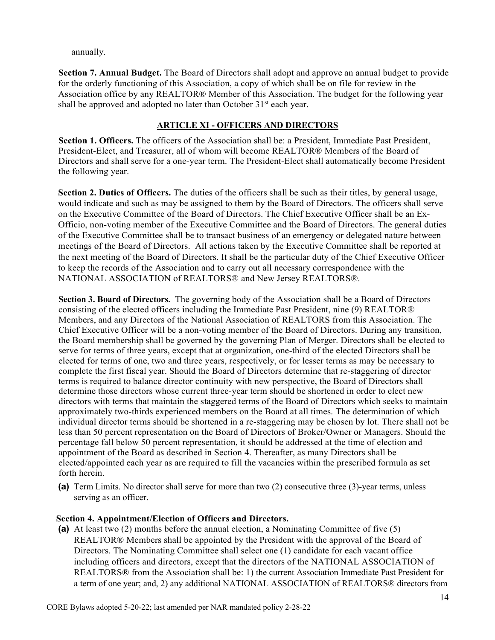annually.

Section 7. Annual Budget. The Board of Directors shall adopt and approve an annual budget to provide for the orderly functioning of this Association, a copy of which shall be on file for review in the Association office by any REALTOR® Member of this Association. The budget for the following year shall be approved and adopted no later than October  $31<sup>st</sup>$  each year.

## ARTICLE XI - OFFICERS AND DIRECTORS

Section 1. Officers. The officers of the Association shall be: a President, Immediate Past President, President-Elect, and Treasurer, all of whom will become REALTOR® Members of the Board of Directors and shall serve for a one-year term. The President-Elect shall automatically become President the following year.

Section 2. Duties of Officers. The duties of the officers shall be such as their titles, by general usage, would indicate and such as may be assigned to them by the Board of Directors. The officers shall serve on the Executive Committee of the Board of Directors. The Chief Executive Officer shall be an Ex-Officio, non-voting member of the Executive Committee and the Board of Directors. The general duties of the Executive Committee shall be to transact business of an emergency or delegated nature between meetings of the Board of Directors. All actions taken by the Executive Committee shall be reported at the next meeting of the Board of Directors. It shall be the particular duty of the Chief Executive Officer to keep the records of the Association and to carry out all necessary correspondence with the NATIONAL ASSOCIATION of REALTORS® and New Jersey REALTORS®.

Section 3. Board of Directors. The governing body of the Association shall be a Board of Directors consisting of the elected officers including the Immediate Past President, nine (9) REALTOR® Members, and any Directors of the National Association of REALTORS from this Association. The Chief Executive Officer will be a non-voting member of the Board of Directors. During any transition, the Board membership shall be governed by the governing Plan of Merger. Directors shall be elected to serve for terms of three years, except that at organization, one-third of the elected Directors shall be elected for terms of one, two and three years, respectively, or for lesser terms as may be necessary to complete the first fiscal year. Should the Board of Directors determine that re-staggering of director terms is required to balance director continuity with new perspective, the Board of Directors shall determine those directors whose current three-year term should be shortened in order to elect new directors with terms that maintain the staggered terms of the Board of Directors which seeks to maintain approximately two-thirds experienced members on the Board at all times. The determination of which individual director terms should be shortened in a re-staggering may be chosen by lot. There shall not be less than 50 percent representation on the Board of Directors of Broker/Owner or Managers. Should the percentage fall below 50 percent representation, it should be addressed at the time of election and appointment of the Board as described in Section 4. Thereafter, as many Directors shall be elected/appointed each year as are required to fill the vacancies within the prescribed formula as set forth herein.

(a) Term Limits. No director shall serve for more than two (2) consecutive three (3)-year terms, unless serving as an officer.

## Section 4. Appointment/Election of Officers and Directors.

(a) At least two (2) months before the annual election, a Nominating Committee of five (5) REALTOR® Members shall be appointed by the President with the approval of the Board of Directors. The Nominating Committee shall select one (1) candidate for each vacant office including officers and directors, except that the directors of the NATIONAL ASSOCIATION of REALTORS® from the Association shall be: 1) the current Association Immediate Past President for a term of one year; and, 2) any additional NATIONAL ASSOCIATION of REALTORS® directors from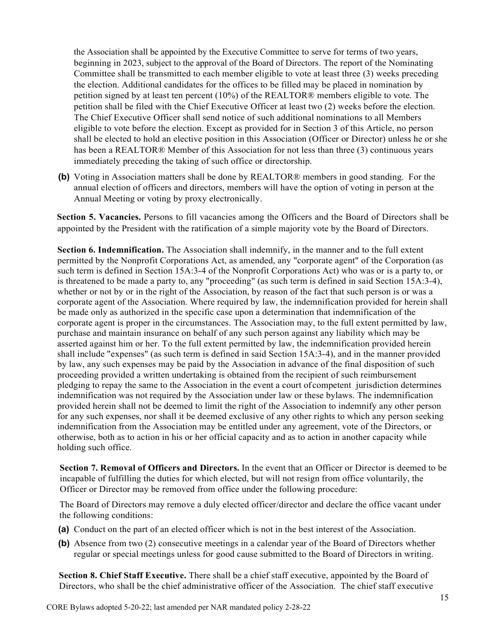the Association shall be appointed by the Executive Committee to serve for terms of two years, beginning in 2023, subject to the approval of the Board of Directors. The report of the Nominating Committee shall be transmitted to each member eligible to vote at least three (3) weeks preceding the election. Additional candidates for the offices to be filled may be placed in nomination by petition signed by at least ten percent (10%) of the REALTOR® members eligible to vote. The petition shall be filed with the Chief Executive Officer at least two (2) weeks before the election. The Chief Executive Officer shall send notice of such additional nominations to all Members eligible to vote before the election. Except as provided for in Section 3 of this Article, no person shall be elected to hold an elective position in this Association (Officer or Director) unless he or she has been a REALTOR® Member of this Association for not less than three (3) continuous years immediately preceding the taking of such office or directorship.

(b) Voting in Association matters shall be done by REALTOR® members in good standing. For the annual election of officers and directors, members will have the option of voting in person at the Annual Meeting or voting by proxy electronically.

Section 5. Vacancies. Persons to fill vacancies among the Officers and the Board of Directors shall be appointed by the President with the ratification of a simple majority vote by the Board of Directors.

Section 6. Indemnification. The Association shall indemnify, in the manner and to the full extent permitted by the Nonprofit Corporations Act, as amended, any "corporate agent" of the Corporation (as such term is defined in Section 15A:3-4 of the Nonprofit Corporations Act) who was or is a party to, or is threatened to be made a party to, any "proceeding" (as such term is defined in said Section 15A:3-4), whether or not by or in the right of the Association, by reason of the fact that such person is or was a corporate agent of the Association. Where required by law, the indemnification provided for herein shall be made only as authorized in the specific case upon a determination that indemnification of the corporate agent is proper in the circumstances. The Association may, to the full extent permitted by law, purchase and maintain insurance on behalf of any such person against any liability which may be asserted against him or her. To the full extent permitted by law, the indemnification provided herein shall include "expenses" (as such term is defined in said Section 15A:3-4), and in the manner provided by law, any such expenses may be paid by the Association in advance of the final disposition of such proceeding provided a written undertaking is obtained from the recipient of such reimbursement pledging to repay the same to the Association in the event a court of competent jurisdiction determines indemnification was not required by the Association under law or these bylaws. The indemnification provided herein shall not be deemed to limit the right of the Association to indemnify any other person for any such expenses, nor shall it be deemed exclusive of any other rights to which any person seeking indemnification from the Association may be entitled under any agreement, vote of the Directors, or otherwise, both as to action in his or her official capacity and as to action in another capacity while holding such office.

Section 7. Removal of Officers and Directors. In the event that an Officer or Director is deemed to be incapable of fulfilling the duties for which elected, but will not resign from office voluntarily, the Officer or Director may be removed from office under the following procedure:

The Board of Directors may remove a duly elected officer/director and declare the office vacant under the following conditions:

- (a) Conduct on the part of an elected officer which is not in the best interest of the Association.
- (b) Absence from two (2) consecutive meetings in a calendar year of the Board of Directors whether regular or special meetings unless for good cause submitted to the Board of Directors in writing.

Section 8. Chief Staff Executive. There shall be a chief staff executive, appointed by the Board of Directors, who shall be the chief administrative officer of the Association. The chief staff executive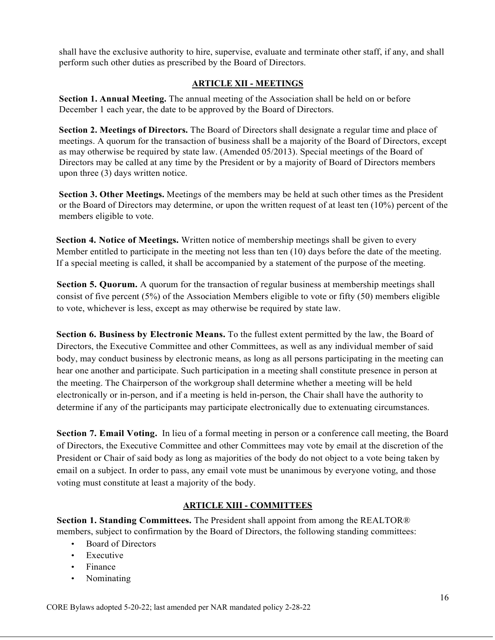shall have the exclusive authority to hire, supervise, evaluate and terminate other staff, if any, and shall perform such other duties as prescribed by the Board of Directors.

## ARTICLE XII - MEETINGS

Section 1. Annual Meeting. The annual meeting of the Association shall be held on or before December 1 each year, the date to be approved by the Board of Directors.

Section 2. Meetings of Directors. The Board of Directors shall designate a regular time and place of meetings. A quorum for the transaction of business shall be a majority of the Board of Directors, except as may otherwise be required by state law. (Amended 05/2013). Special meetings of the Board of Directors may be called at any time by the President or by a majority of Board of Directors members upon three (3) days written notice.

Section 3. Other Meetings. Meetings of the members may be held at such other times as the President or the Board of Directors may determine, or upon the written request of at least ten  $(10\%)$  percent of the members eligible to vote.

Section 4. Notice of Meetings. Written notice of membership meetings shall be given to every Member entitled to participate in the meeting not less than ten (10) days before the date of the meeting. If a special meeting is called, it shall be accompanied by a statement of the purpose of the meeting.

Section 5. Quorum. A quorum for the transaction of regular business at membership meetings shall consist of five percent (5%) of the Association Members eligible to vote or fifty (50) members eligible to vote, whichever is less, except as may otherwise be required by state law.

Section 6. Business by Electronic Means. To the fullest extent permitted by the law, the Board of Directors, the Executive Committee and other Committees, as well as any individual member of said body, may conduct business by electronic means, as long as all persons participating in the meeting can hear one another and participate. Such participation in a meeting shall constitute presence in person at the meeting. The Chairperson of the workgroup shall determine whether a meeting will be held electronically or in-person, and if a meeting is held in-person, the Chair shall have the authority to determine if any of the participants may participate electronically due to extenuating circumstances.

Section 7. Email Voting. In lieu of a formal meeting in person or a conference call meeting, the Board of Directors, the Executive Committee and other Committees may vote by email at the discretion of the President or Chair of said body as long as majorities of the body do not object to a vote being taken by email on a subject. In order to pass, any email vote must be unanimous by everyone voting, and those voting must constitute at least a majority of the body.

## ARTICLE XIII - COMMITTEES

Section 1. Standing Committees. The President shall appoint from among the REALTOR® members, subject to confirmation by the Board of Directors, the following standing committees:

- Board of Directors
- Executive
- Finance
- Nominating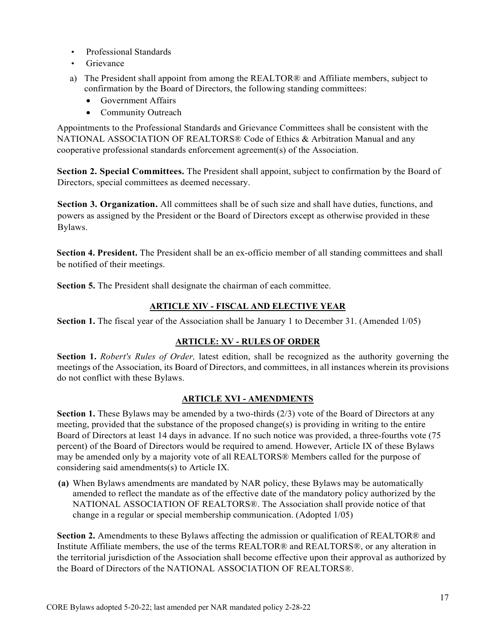- Professional Standards
- Grievance
- a) The President shall appoint from among the REALTOR® and Affiliate members, subject to confirmation by the Board of Directors, the following standing committees:
	- Government Affairs
	- Community Outreach

Appointments to the Professional Standards and Grievance Committees shall be consistent with the NATIONAL ASSOCIATION OF REALTORS® Code of Ethics & Arbitration Manual and any cooperative professional standards enforcement agreement(s) of the Association.

Section 2. Special Committees. The President shall appoint, subject to confirmation by the Board of Directors, special committees as deemed necessary.

Section 3. Organization. All committees shall be of such size and shall have duties, functions, and powers as assigned by the President or the Board of Directors except as otherwise provided in these Bylaws.

Section 4. President. The President shall be an ex-officio member of all standing committees and shall be notified of their meetings.

Section 5. The President shall designate the chairman of each committee.

# ARTICLE XIV - FISCAL AND ELECTIVE YEAR

Section 1. The fiscal year of the Association shall be January 1 to December 31. (Amended 1/05)

## ARTICLE: XV - RULES OF ORDER

Section 1. Robert's Rules of Order, latest edition, shall be recognized as the authority governing the meetings of the Association, its Board of Directors, and committees, in all instances wherein its provisions do not conflict with these Bylaws.

## ARTICLE XVI - AMENDMENTS

Section 1. These Bylaws may be amended by a two-thirds (2/3) vote of the Board of Directors at any meeting, provided that the substance of the proposed change(s) is providing in writing to the entire Board of Directors at least 14 days in advance. If no such notice was provided, a three-fourths vote (75 percent) of the Board of Directors would be required to amend. However, Article IX of these Bylaws may be amended only by a majority vote of all REALTORS® Members called for the purpose of considering said amendments(s) to Article IX.

(a) When Bylaws amendments are mandated by NAR policy, these Bylaws may be automatically amended to reflect the mandate as of the effective date of the mandatory policy authorized by the NATIONAL ASSOCIATION OF REALTORS®. The Association shall provide notice of that change in a regular or special membership communication. (Adopted 1/05)

Section 2. Amendments to these Bylaws affecting the admission or qualification of REALTOR® and Institute Affiliate members, the use of the terms REALTOR® and REALTORS®, or any alteration in the territorial jurisdiction of the Association shall become effective upon their approval as authorized by the Board of Directors of the NATIONAL ASSOCIATION OF REALTORS®.